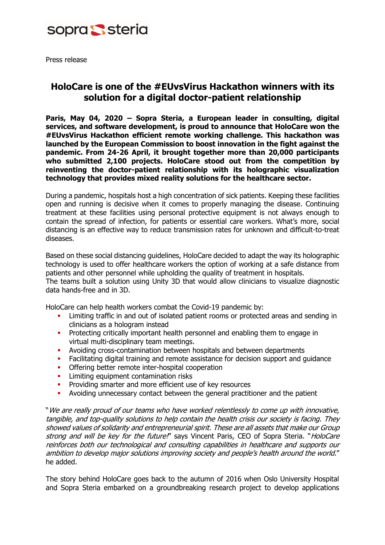

Press release

## **HoloCare is one of the #EUvsVirus Hackathon winners with its solution for a digital doctor-patient relationship**

**Paris, May 04, 2020 – Sopra Steria, a European leader in consulting, digital services, and software development, is proud to announce that HoloCare won the #EUvsVirus Hackathon efficient remote working challenge. This hackathon was launched by the European Commission to boost innovation in the fight against the pandemic. From 24-26 April, it brought together more than 20,000 participants who submitted 2,100 projects. HoloCare stood out from the competition by reinventing the doctor-patient relationship with its holographic visualization technology that provides mixed reality solutions for the healthcare sector.** 

During a pandemic, hospitals host a high concentration of sick patients. Keeping these facilities open and running is decisive when it comes to properly managing the disease. Continuing treatment at these facilities using personal protective equipment is not always enough to contain the spread of infection, for patients or essential care workers. What's more, social distancing is an effective way to reduce transmission rates for unknown and difficult-to-treat diseases.

Based on these social distancing guidelines, HoloCare decided to adapt the way its holographic technology is used to offer healthcare workers the option of working at a safe distance from patients and other personnel while upholding the quality of treatment in hospitals. The teams built a solution using Unity 3D that would allow clinicians to visualize diagnostic data hands-free and in 3D.

HoloCare can help health workers combat the Covid-19 pandemic by:

- **•** Limiting traffic in and out of isolated patient rooms or protected areas and sending in clinicians as a hologram instead
- **•** Protecting critically important health personnel and enabling them to engage in virtual multi-disciplinary team meetings.
- **EXECTE Avoiding cross-contamination between hospitals and between departments**
- **•** Facilitating digital training and remote assistance for decision support and guidance
- **•** Offering better remote inter-hospital cooperation
- **•** Limiting equipment contamination risks
- **•** Providing smarter and more efficient use of key resources
- **•** Avoiding unnecessary contact between the general practitioner and the patient

"We are really proud of our teams who have worked relentlessly to come up with innovative, tangible, and top-quality solutions to help contain the health crisis our society is facing. They showed values of solidarity and entrepreneurial spirit. These are all assets that make our Group strong and will be key for the future!" says Vincent Paris, CEO of Sopra Steria. "HoloCare reinforces both our technological and consulting capabilities in healthcare and supports our ambition to develop major solutions improving society and people's health around the world." he added.

The story behind HoloCare goes back to the autumn of 2016 when Oslo University Hospital and Sopra Steria embarked on a groundbreaking research project to develop applications